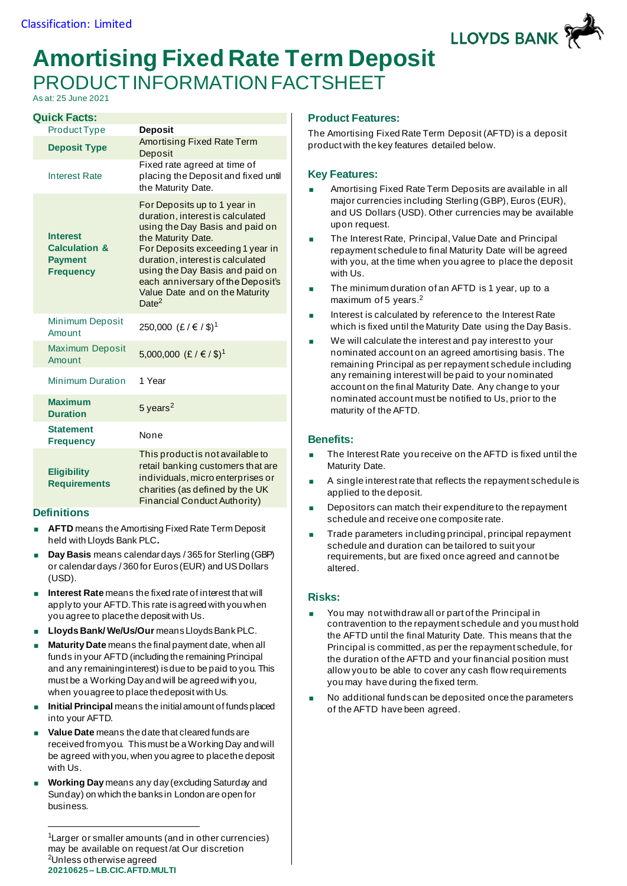

# **Amortising Fixed Rate Term Deposit** PRODUCT INFORMATION FACTSHEET

As at: 25 June 2021

| <b>Quick Facts:</b>                                                               |                                                                                                                                                                                                                                                                                                                                  |
|-----------------------------------------------------------------------------------|----------------------------------------------------------------------------------------------------------------------------------------------------------------------------------------------------------------------------------------------------------------------------------------------------------------------------------|
| <b>Product Type</b>                                                               | <b>Deposit</b>                                                                                                                                                                                                                                                                                                                   |
| <b>Deposit Type</b>                                                               | Amortising Fixed Rate Term<br>Deposit                                                                                                                                                                                                                                                                                            |
| <b>Interest Rate</b>                                                              | Fixed rate agreed at time of<br>placing the Deposit and fixed until<br>the Maturity Date.                                                                                                                                                                                                                                        |
| <b>Interest</b><br><b>Calculation &amp;</b><br><b>Payment</b><br><b>Frequency</b> | For Deposits up to 1 year in<br>duration, interest is calculated<br>using the Day Basis and paid on<br>the Maturity Date.<br>For Deposits exceeding 1 year in<br>duration, interest is calculated<br>using the Day Basis and paid on<br>each anniversary of the Deposit's<br>Value Date and on the Maturity<br>Date <sup>2</sup> |
| <b>Minimum Deposit</b><br>Amount                                                  | 250,000 (£/€/\$) <sup>1</sup>                                                                                                                                                                                                                                                                                                    |
| <b>Maximum Deposit</b><br>Amount                                                  | 5,000,000 (£/€/\$) <sup>1</sup>                                                                                                                                                                                                                                                                                                  |
| <b>Minimum Duration</b>                                                           | 1 Year                                                                                                                                                                                                                                                                                                                           |
| <b>Maximum</b><br><b>Duration</b>                                                 | $5$ years <sup>2</sup>                                                                                                                                                                                                                                                                                                           |
| <b>Statement</b><br><b>Frequency</b>                                              | None                                                                                                                                                                                                                                                                                                                             |
| <b>Eligibility</b><br><b>Requirements</b>                                         | This product is not available to<br>retail banking customers that are<br>individuals, micro enterprises or<br>charities (as defined by the UK<br>Financial Conduct Authority)                                                                                                                                                    |

### **Definitions**

- **AFTD** means the Amortising Fixed Rate Term Deposit held with Lloyds Bank PLC**.**
- **Day Basis** means calendar days / 365 for Sterling (GBP) or calendar days / 360 for Euros (EUR) and US Dollars (USD).
- **Interest Rate** means the fixed rate of interest that will apply to your AFTD.This rate is agreed with you when you agree to place the deposit with Us.
- **Lloyds Bank/ We/Us/Our** means Lloyds Bank PLC.
- **Maturity Date** means the final payment date, when all funds in your AFTD (including the remaining Principal and any remaining interest) is due to be paid to you. This must be a Working Day and will be agreed with you, when you agree to place the deposit with Us.
- **Initial Principal** means the initial amount of funds placed into your AFTD.
- **Value Date** means the date that cleared funds are received from you. This must be a Working Day and will be agreed with you, when you agree to place the deposit with Us.
- **Working Day** means any day (excluding Saturday and Sunday) on which the banks in London are open for business.

## **Product Features:**

The Amortising Fixed Rate Term Deposit (AFTD) is a deposit product with the key features detailed below.

## **Key Features:**

- Amortising Fixed Rate Term Deposits are available in all major currencies including Sterling (GBP), Euros (EUR), and US Dollars (USD). Other currencies may be available upon request.
- The Interest Rate, Principal, Value Date and Principal repayment schedule to final Maturity Date will be agreed with you, at the time when you agree to place the deposit with Us.
- **The minimum duration of an AFTD is 1 year, up to a** maximum of 5 years.<sup>2</sup>
- Interest is calculated by reference to the Interest Rate which is fixed until the Maturity Date using the Day Basis.
- We will calculate the interest and pay interest to your nominated account on an agreed amortising basis. The remaining Principal as per repayment schedule including any remaining interest will be paid to your nominated account on the final Maturity Date. Any change to your nominated account must be notified to Us, prior to the maturity of the AFTD.

### **Benefits:**

- The Interest Rate you receive on the AFTD is fixed until the Maturity Date.
- A single interest rate that reflects the repayment schedule is applied to the deposit.
- Depositors can match their expenditure to the repayment schedule and receive one composite rate.
- Trade parameters including principal, principal repayment schedule and duration can be tailored to suit your requirements, but are fixed once agreed and cannot be altered.

### **Risks:**

- You may not withdraw all or part of the Principal in contravention to the repayment schedule and you must hold the AFTD until the final Maturity Date. This means that the Principal is committed, as per the repayment schedule, for the duration of the AFTD and your financial position must allow you to be able to cover any cash flow requirements you may have during the fixed term.
- No additional funds can be deposited once the parameters of the AFTD have been agreed.

**<sup>20210625</sup> – LB.CIC.AFTD.MULTI** <sup>1</sup>Larger or smaller amounts (and in other currencies) may be available on request /at Our discretion <sup>2</sup>Unless otherwise agreed